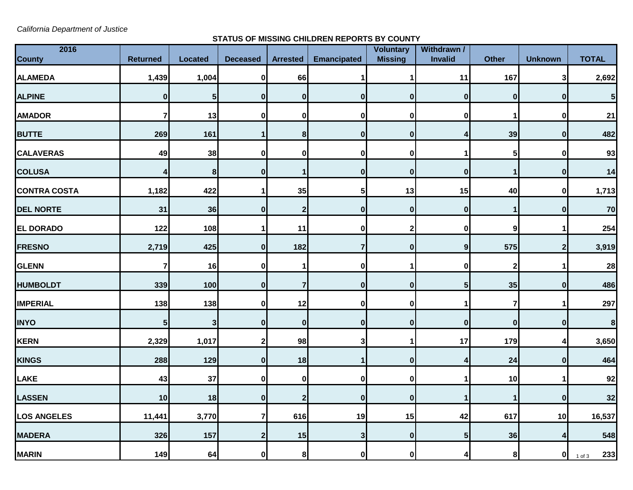*California Department of Justice*

## **STATUS OF MISSING CHILDREN REPORTS BY COUNTY**

|                         |                 |                  |                 |                                 |                                |                                                                                                                                                                |                                                              |                  | <b>TOTAL</b>            |
|-------------------------|-----------------|------------------|-----------------|---------------------------------|--------------------------------|----------------------------------------------------------------------------------------------------------------------------------------------------------------|--------------------------------------------------------------|------------------|-------------------------|
| 1,439                   | 1,004           | $\mathbf 0$      | 66              |                                 |                                | 11                                                                                                                                                             | 167                                                          | 3                | 2,692                   |
| $\bf{0}$                | 5               | $\mathbf{0}$     | 0               | $\mathbf{0}$                    |                                | $\mathbf 0$                                                                                                                                                    | $\mathbf{0}$                                                 | 0                | $\overline{\mathbf{5}}$ |
| $\overline{\mathbf{r}}$ | 13              | 0                | 0               | 0                               | 0                              | $\pmb{0}$                                                                                                                                                      | 1                                                            | $\mathbf 0$      | 21                      |
| 269                     | 161             | 1                | 8 <sup>1</sup>  | $\mathbf 0$                     | $\bf{0}$                       | 4                                                                                                                                                              | 39                                                           | $\bf{0}$         | 482                     |
| 49                      | 38              | 0                | 0               | $\mathbf 0$                     |                                | 1                                                                                                                                                              | 5                                                            | $\mathbf 0$      | 93                      |
| 4                       | 8               | $\mathbf 0$      | $\mathbf{1}$    | $\bf{0}$                        |                                | $\bf{0}$                                                                                                                                                       | $\mathbf{1}$                                                 | $\boldsymbol{0}$ | 14                      |
| 1,182                   | 422             | 1                | 35              | 5 <sub>l</sub>                  |                                | 15                                                                                                                                                             | 40                                                           | $\mathbf{0}$     | 1,713                   |
| 31                      | 36              | $\bf{0}$         | $\overline{2}$  | $\bf{0}$                        |                                | $\bf{0}$                                                                                                                                                       | $\mathbf 1$                                                  | $\bf{0}$         | 70                      |
| 122                     | 108             |                  | 11              | $\bf{0}$                        |                                | $\pmb{0}$                                                                                                                                                      | $\boldsymbol{9}$                                             | 1                | 254                     |
| 2,719                   | 425             | $\mathbf 0$      | 182             | $\overline{7}$                  |                                | 9                                                                                                                                                              | 575                                                          | $2 \mid$         | 3,919                   |
| $\overline{\mathbf{r}}$ | 16              | 0                |                 | 0                               |                                | 0                                                                                                                                                              | $\overline{2}$                                               |                  | 28                      |
| 339                     | 100             | $\bf{0}$         | $\overline{7}$  | $\bf{0}$                        | 0                              | 5 <sub>5</sub>                                                                                                                                                 | 35                                                           | $\mathbf{0}$     | 486                     |
| 138                     | 138             | $\bf{0}$         | 12              | $\mathbf 0$                     |                                | 1                                                                                                                                                              | 7                                                            | 1                | 297                     |
| ${\bf 5}$               | 3               | $\bf{0}$         | $\mathbf{0}$    | $\mathbf{0}$                    | 0                              | $\bf{0}$                                                                                                                                                       | $\boldsymbol{0}$                                             | $\bf{0}$         | $\bf 8$                 |
| 2,329                   | 1,017           | $\mathbf 2$      | 98              | 3                               |                                | 17                                                                                                                                                             | 179                                                          | 4                | 3,650                   |
| 288                     | 129             | $\mathbf 0$      | 18              |                                 |                                | 4                                                                                                                                                              | 24                                                           | $\mathbf 0$      | 464                     |
| 43                      | 37              | $\mathbf 0$      | 0               | $\mathbf 0$                     |                                | 1                                                                                                                                                              | 10                                                           |                  | 92                      |
| 10                      | 18              | $\bf{0}$         | $\overline{2}$  | $\bf{0}$                        | 0                              | 1                                                                                                                                                              | $\mathbf 1$                                                  | $\mathbf{0}$     | 32                      |
| 11,441                  | 3,770           | $\overline{7}$   | 616             | 19                              |                                | 42                                                                                                                                                             | 617                                                          | 10               | 16,537                  |
| 326                     | 157             | $\boldsymbol{2}$ | 15              | $\mathbf{3}$                    |                                | $5\phantom{.0}$                                                                                                                                                | 36                                                           | 4                | 548                     |
| 149                     | 64              |                  |                 | $\mathbf{0}$                    |                                | 4                                                                                                                                                              |                                                              | 0                | 233<br>$1$ of $3$       |
|                         | <b>Returned</b> | <b>Located</b>   | <b>Deceased</b> | <b>Arrested</b><br>$\mathbf{0}$ | <b>Emancipated</b><br>$\bf{8}$ | <b>Voluntary</b><br><b>Missing</b><br>$\mathbf{0}$<br>$\mathbf{0}$<br>13<br>$\mathbf{0}$<br>$\mathbf{0}$<br>$\mathbf{0}$<br>$\mathbf{0}$<br>$\mathbf{0}$<br> 0 | Withdrawn /<br>Invalid<br>$\mathbf{0}$<br>15<br>$\mathbf{0}$ | <b>Other</b>     | <b>Unknown</b><br>8     |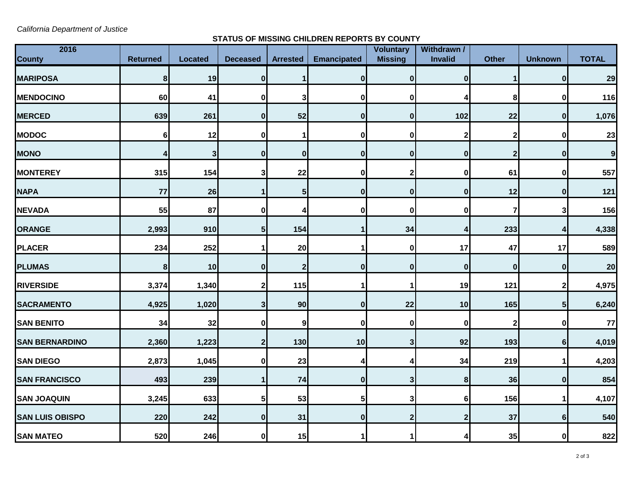*California Department of Justice*

## **STATUS OF MISSING CHILDREN REPORTS BY COUNTY**

| 2016<br><b>County</b>  | <b>Returned</b> | <b>Located</b> | <b>Deceased</b> | <b>Arrested</b> | <b>Emancipated</b> | Voluntary<br><b>Missing</b> | Withdrawn /<br><b>Invalid</b> | <b>Other</b>            | <b>Unknown</b> | <b>TOTAL</b>     |
|------------------------|-----------------|----------------|-----------------|-----------------|--------------------|-----------------------------|-------------------------------|-------------------------|----------------|------------------|
| <b>MARIPOSA</b>        | 8               | 19             | $\bf{0}$        |                 | $\mathbf{0}$       | $\mathbf{0}$                | $\mathbf 0$                   | 1                       | 0              | 29               |
| <b>MENDOCINO</b>       | 60              | 41             | 0               | 3               | 0                  | $\bf{0}$                    | 4                             | 8                       | $\mathbf 0$    | 116              |
| <b>MERCED</b>          | 639             | 261            | 0               | 52              | 0                  | 0                           | 102                           | 22                      | 0              | 1,076            |
| <b>MODOC</b>           | $6\phantom{1}6$ | 12             | $\bf{0}$        |                 | 0                  | 0                           | $\overline{2}$                | $\overline{\mathbf{2}}$ | $\bf{0}$       | 23               |
| <b>MONO</b>            | 4               | $\mathbf{3}$   | $\bf{0}$        | $\mathbf{0}$    | 0                  | $\bf{0}$                    | $\mathbf 0$                   | $\mathbf{2}$            | $\mathbf{0}$   | $\boldsymbol{9}$ |
| <b>MONTEREY</b>        | 315             | 154            | 3               | 22              | 0                  |                             | $\pmb{0}$                     | 61                      | $\mathbf 0$    | 557              |
| <b>NAPA</b>            | 77              | 26             |                 | 5               | 0                  | $\bf{0}$                    | $\bf{0}$                      | 12                      | $\bf{0}$       | 121              |
| <b>NEVADA</b>          | 55              | 87             | O               | Δ               | 0                  | O                           | 0                             | 7                       | 3              | 156              |
| <b>ORANGE</b>          | 2,993           | 910            | 5               | 154             |                    | 34                          | 4                             | 233                     | 4              | 4,338            |
| <b>PLACER</b>          | 234             | 252            |                 | 20              |                    | $\bf{0}$                    | 17                            | 47                      | 17             | 589              |
| <b>PLUMAS</b>          | 8               | 10             | 0               | $\overline{2}$  | $\mathbf{0}$       | $\bf{0}$                    | $\pmb{0}$                     | $\boldsymbol{0}$        | $\bf{0}$       | 20               |
| <b>RIVERSIDE</b>       | 3,374           | 1,340          | 2               | 115             |                    |                             | 19                            | 121                     | $\mathbf{2}$   | 4,975            |
| <b>SACRAMENTO</b>      | 4,925           | 1,020          | 3               | 90              | $\mathbf{0}$       | 22                          | 10                            | 165                     | 5 <sub>l</sub> | 6,240            |
| <b>SAN BENITO</b>      | 34              | 32             | $\bf{0}$        | 9               | $\mathbf{0}$       | $\bf{0}$                    | $\mathbf 0$                   | $\mathbf{2}$            | $\mathbf{0}$   | 77               |
| <b>SAN BERNARDINO</b>  | 2,360           | 1,223          | $\mathbf{2}$    | 130             | 10                 | $\mathbf{3}$                | 92                            | 193                     | 6 <sup>1</sup> | 4,019            |
| <b>SAN DIEGO</b>       | 2,873           | 1,045          | 0               | 23              | 4                  |                             | 34                            | 219                     | 1              | 4,203            |
| <b>SAN FRANCISCO</b>   | 493             | 239            |                 | 74              | 0                  | 3                           | 8                             | 36                      | 0              | 854              |
| <b>SAN JOAQUIN</b>     | 3,245           | 633            | 5 <sup>1</sup>  | 53              | 5 <sub>l</sub>     | 3                           | 6                             | 156                     | $\mathbf 1$    | 4,107            |
| <b>SAN LUIS OBISPO</b> | 220             | 242            | $\bf{0}$        | 31              | 0                  | $\mathbf{2}$                | $\boldsymbol{2}$              | 37                      | $6 \,$         | 540              |
| <b>SAN MATEO</b>       | 520             | 246            | 0               | 15              |                    |                             | 4                             | 35                      | $\bf{0}$       | 822              |